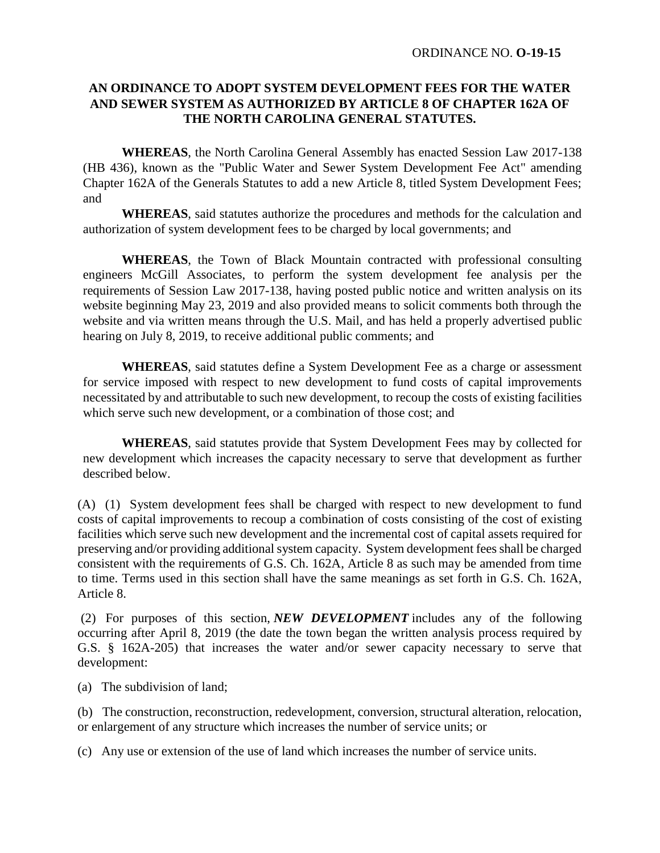## **AN ORDINANCE TO ADOPT SYSTEM DEVELOPMENT FEES FOR THE WATER AND SEWER SYSTEM AS AUTHORIZED BY ARTICLE 8 OF CHAPTER 162A OF THE NORTH CAROLINA GENERAL STATUTES.**

**WHEREAS**, the North Carolina General Assembly has enacted Session Law 2017-138 (HB 436), known as the "Public Water and Sewer System Development Fee Act" amending Chapter 162A of the Generals Statutes to add a new Article 8, titled System Development Fees; and

**WHEREAS**, said statutes authorize the procedures and methods for the calculation and authorization of system development fees to be charged by local governments; and

**WHEREAS**, the Town of Black Mountain contracted with professional consulting engineers McGill Associates, to perform the system development fee analysis per the requirements of Session Law 2017-138, having posted public notice and written analysis on its website beginning May 23, 2019 and also provided means to solicit comments both through the website and via written means through the U.S. Mail, and has held a properly advertised public hearing on July 8, 2019, to receive additional public comments; and

**WHEREAS**, said statutes define a System Development Fee as a charge or assessment for service imposed with respect to new development to fund costs of capital improvements necessitated by and attributable to such new development, to recoup the costs of existing facilities which serve such new development, or a combination of those cost; and

**WHEREAS**, said statutes provide that System Development Fees may by collected for new development which increases the capacity necessary to serve that development as further described below.

(A) (1) System development fees shall be charged with respect to new development to fund costs of capital improvements to recoup a combination of costs consisting of the cost of existing facilities which serve such new development and the incremental cost of capital assets required for preserving and/or providing additional system capacity. System development fees shall be charged consistent with the requirements of G.S. Ch. 162A, Article 8 as such may be amended from time to time. Terms used in this section shall have the same meanings as set forth in G.S. Ch. 162A, Article 8.

(2) For purposes of this section, *NEW DEVELOPMENT* includes any of the following occurring after April 8, 2019 (the date the town began the written analysis process required by G.S. § 162A-205) that increases the water and/or sewer capacity necessary to serve that development:

(a) The subdivision of land;

(b) The construction, reconstruction, redevelopment, conversion, structural alteration, relocation, or enlargement of any structure which increases the number of service units; or

(c) Any use or extension of the use of land which increases the number of service units.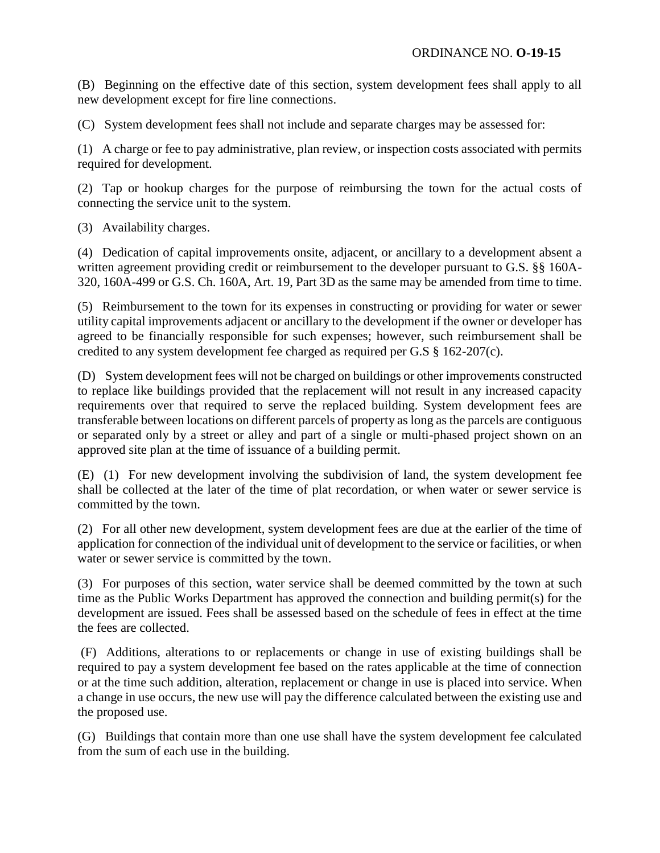(B) Beginning on the effective date of this section, system development fees shall apply to all new development except for fire line connections.

(C) System development fees shall not include and separate charges may be assessed for:

(1) A charge or fee to pay administrative, plan review, or inspection costs associated with permits required for development.

(2) Tap or hookup charges for the purpose of reimbursing the town for the actual costs of connecting the service unit to the system.

(3) Availability charges.

(4) Dedication of capital improvements onsite, adjacent, or ancillary to a development absent a written agreement providing credit or reimbursement to the developer pursuant to G.S. §§ 160A-320, 160A-499 or G.S. Ch. 160A, Art. 19, Part 3D as the same may be amended from time to time.

(5) Reimbursement to the town for its expenses in constructing or providing for water or sewer utility capital improvements adjacent or ancillary to the development if the owner or developer has agreed to be financially responsible for such expenses; however, such reimbursement shall be credited to any system development fee charged as required per G.S § 162-207(c).

(D) System development fees will not be charged on buildings or other improvements constructed to replace like buildings provided that the replacement will not result in any increased capacity requirements over that required to serve the replaced building. System development fees are transferable between locations on different parcels of property as long as the parcels are contiguous or separated only by a street or alley and part of a single or multi-phased project shown on an approved site plan at the time of issuance of a building permit.

(E) (1) For new development involving the subdivision of land, the system development fee shall be collected at the later of the time of plat recordation, or when water or sewer service is committed by the town.

(2) For all other new development, system development fees are due at the earlier of the time of application for connection of the individual unit of development to the service or facilities, or when water or sewer service is committed by the town.

(3) For purposes of this section, water service shall be deemed committed by the town at such time as the Public Works Department has approved the connection and building permit(s) for the development are issued. Fees shall be assessed based on the schedule of fees in effect at the time the fees are collected.

(F) Additions, alterations to or replacements or change in use of existing buildings shall be required to pay a system development fee based on the rates applicable at the time of connection or at the time such addition, alteration, replacement or change in use is placed into service. When a change in use occurs, the new use will pay the difference calculated between the existing use and the proposed use.

(G) Buildings that contain more than one use shall have the system development fee calculated from the sum of each use in the building.